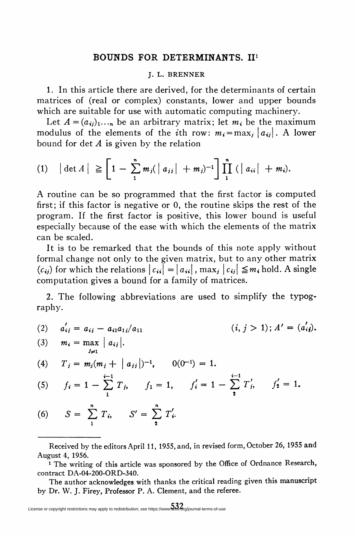## BOUNDS FOR DETERMINANTS. II1

## J. L. BRENNER

1. In this article there are derived, for the determinants of certain matrices of (real or complex) constants, lower and upper bounds which are suitable for use with automatic computing machinery.

Let  $A = (a_{ij})_1...$  be an arbitrary matrix; let  $m_i$ , be the maximum modulus of the elements of the *i*th row:  $m_i = \max_i |a_{ij}|$ . A lower bound for det  $A$  is given by the relation

(1) 
$$
|\det A| \geq \left[1 - \sum_{1}^{n} m_j (|a_{ij}| + m_j)^{-1}\right] \prod_{1}^{n} (|a_{ii}| + m_i).
$$

A routine can be so programmed that the first factor is computed first; if this factor is negative or 0, the routine skips the rest of the program. If the first factor is positive, this lower bound is useful especially because of the ease with which the elements of the matrix can be scaled.

It is to be remarked that the bounds of this note apply without formal change not only to the given matrix, but to any other matrix  $(c_{ij})$  for which the relations  $|c_{ij}| = | a_{ij}|$ , max,  $| c_{ij} | \leq m_i$  hold. A single computation gives a bound for a family of matrices.

2. The following abbreviations are used to simplify the typography.

(2)  $a'_{ii} = a_{ii} - a_{i1}a_{1i}/a_{11}$  <br>  $(i, j > 1); A' = (a'_{ij}).$ 

(3) 
$$
m_i = \max_{j \neq 1} |a_{ij}|
$$
.  
\n(4)  $T_i = m_i(m_i + |a_{ij}|)^{-1}$  0(0<sup>-1</sup>) = 1

 $2 - 1$ 

(4) 
$$
T_i = m_i(m_i + |a_{ii}|)^{-1}
$$
,  $0(0^{-1}) = 1$ .

(5) 
$$
f_i = 1 - \sum_{1}^{i-1} T_{i}, \qquad f_1 = 1, \qquad f'_i = 1 - \sum_{2}^{i-1} T'_{i}, \qquad f'_2 = 1.
$$

(6)  $S = \sum_{1} T_{i}, \quad S' = \sum_{2} T_{i}.$ 

Received by the editors April 11, 1955, and, in revised form, October 26, 1955 and August 4, 1956.

<sup>&</sup>lt;sup>1</sup> The writing of this article was sponsored by the Office of Ordnance Research, contract DA-04-200-ORD-340.

The author acknowledges with thanks the critical reading given this manuscript by Dr. W. J. Firey, Professor P. A. Clement, and the referee.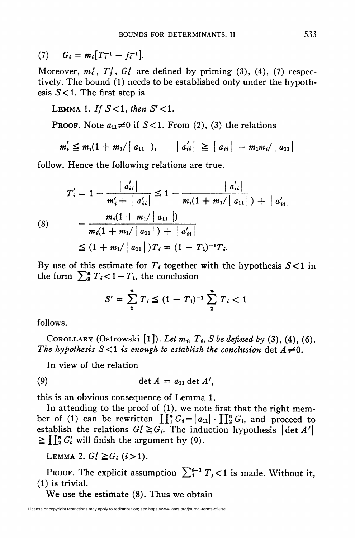(7) 
$$
G_i = m_i [T_i^{-1} - f_i^{-1}].
$$

Moreover,  $m_i'$ ,  $T_i'$ ,  $G_i'$  are defined by priming (3), (4), (7) respectively. The bound (1) needs to be established only under the hypothesis  $S<1$ . The first step is

LEMMA 1. If  $S<1$ , then  $S' < 1$ .

PROOF. Note  $a_{11} \neq 0$  if  $S<1$ . From (2), (3) the relations

$$
m'_i \leq m_i(1 + m_1/|a_{11}|), \quad |a'_{ii}| \geq |a_{ii}| - m_1 m_i/|a_{11}|
$$

follow. Hence the following relations are true.

$$
T'_{i} = 1 - \frac{|a'_{ii}|}{m'_{i} + |a'_{ii}|} \le 1 - \frac{|a'_{ii}|}{m_{i}(1 + m_{1}/|a_{11}|) + |a'_{ii}|}
$$
\n
$$
(8) = \frac{m_{i}(1 + m_{1}/|a_{11}|)}{m_{i}(1 + m_{1}/|a_{11}|) + |a'_{ii}|}
$$
\n
$$
\le (1 + m_{1}/|a_{11}|)T_{i} = (1 - T_{1})^{-1}T_{i}.
$$

By use of this estimate for  $T_i$  together with the hypothesis  $S<1$  in the form  $\sum_{i=1}^{n} T_i < 1 - T_1$ , the conclusion

$$
S' = \sum_{i=1}^{n} T_i \leq (1 - T_1)^{-1} \sum_{i=1}^{n} T_i < 1
$$

follows.

COROLLARY (Ostrowski  $[1]$ ). Let  $m_i$ ,  $T_i$ , S be defined by (3), (4), (6). The hypothesis  $S<1$  is enough to establish the conclusion det  $A\neq 0$ .

In view of the relation

$$
(9) \qquad \qquad \det A = a_{11} \det A',
$$

this is an obvious consequence of Lemma 1.

In attending to the proof of (1), we note first that the right member of (1) can be rewritten  $\prod_{i=1}^{n} G_i = |a_{11}| \cdot \prod_{i=1}^{n} G_i$ , and proceed to establish the relations  $G_i \geq G_i$ . The induction hypothesis  $|\det A'|$  $\geq \prod_{i=1}^{n} G'_{i}$  will finish the argument by (9).

LEMMA 2.  $G_i^{\prime} \geq G_i$  (i>1).

PROOF. The explicit assumption  $\sum_{i=1}^{i-1} T_i < 1$  is made. Without it, (1) is trivial.

We use the estimate (8). Thus we obtain